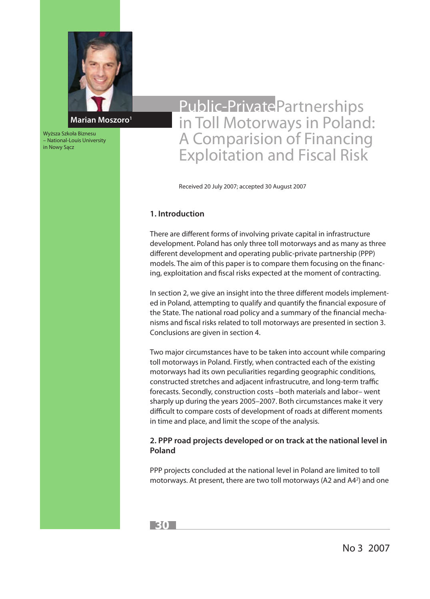

Wyższa Szkoła Biznesu – National-Louis University in Nowy Sącz

# Public-PrivatePartnerships in Toll Motorways in Poland: A Comparision of Financing Exploitation and Fiscal Risk

Received 20 July 2007; accepted 30 August 2007

## **1. Introduction**

There are different forms of involving private capital in infrastructure development. Poland has only three toll motorways and as many as three different development and operating public-private partnership (PPP) models. The aim of this paper is to compare them focusing on the financing, exploitation and fiscal risks expected at the moment of contracting.

In section 2, we give an insight into the three different models implemented in Poland, attempting to qualify and quantify the financial exposure of the State. The national road policy and a summary of the financial mechanisms and fiscal risks related to toll motorways are presented in section 3. Conclusions are given in section 4.

Two major circumstances have to be taken into account while comparing toll motorways in Poland. Firstly, when contracted each of the existing motorways had its own peculiarities regarding geographic conditions, constructed stretches and adjacent infrastrucutre, and long-term traffic forecasts. Secondly, construction costs –both materials and labor– went sharply up during the years 2005–2007. Both circumstances make it very difficult to compare costs of development of roads at different moments in time and place, and limit the scope of the analysis.

## **2. PPP road projects developed or on track at the national level in Poland**

PPP projects concluded at the national level in Poland are limited to toll motorways. At present, there are two toll motorways (A2 and A4<sup>2</sup>) and one

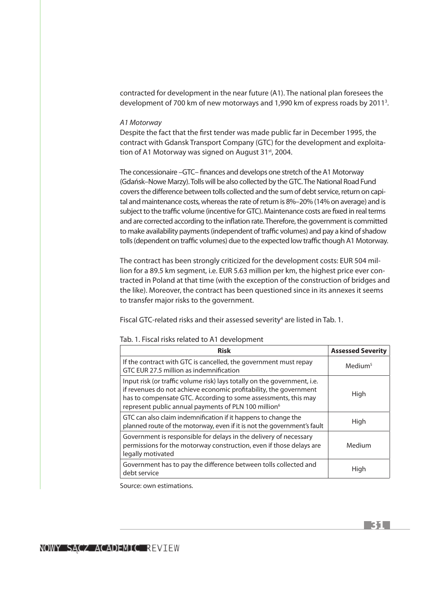contracted for development in the near future (A1). The national plan foresees the development of 700 km of new motorways and 1,990 km of express roads by 2011<sup>3</sup>.

#### *A1 Motorway*

Despite the fact that the first tender was made public far in December 1995, the contract with Gdansk Transport Company (GTC) for the development and exploitation of A1 Motorway was signed on August 31<sup>st</sup>, 2004.

The concessionaire –GTC– finances and develops one stretch of the A1 Motorway (Gdańsk–Nowe Marzy). Tolls will be also collected by the GTC. The National Road Fund covers the difference between tolls collected and the sum of debt service, return on capital and maintenance costs, whereas the rate of return is 8%–20% (14% on average) and is subject to the traffic volume (incentive for GTC). Maintenance costs are fixed in real terms and are corrected according to the inflation rate. Therefore, the government is committed to make availability payments (independent of traffic volumes) and pay a kind of shadow tolls (dependent on traffic volumes) due to the expected low traffic though A1 Motorway.

The contract has been strongly criticized for the development costs: EUR 504 million for a 89.5 km segment, i.e. EUR 5.63 million per km, the highest price ever contracted in Poland at that time (with the exception of the construction of bridges and the like). Moreover, the contract has been questioned since in its annexes it seems to transfer major risks to the government.

Fiscal GTC-related risks and their assessed severity<sup>4</sup> are listed in Tab. 1.

| <b>Risk</b>                                                                                                                                                                                                                                                                         | <b>Assessed Severity</b> |
|-------------------------------------------------------------------------------------------------------------------------------------------------------------------------------------------------------------------------------------------------------------------------------------|--------------------------|
| If the contract with GTC is cancelled, the government must repay<br>GTC EUR 27.5 million as indemnification                                                                                                                                                                         | Medium <sup>5</sup>      |
| Input risk (or traffic volume risk) lays totally on the government, i.e.<br>if revenues do not achieve economic profitability, the government<br>has to compensate GTC. According to some assessments, this may<br>represent public annual payments of PLN 100 million <sup>6</sup> | High                     |
| GTC can also claim indemnification if it happens to change the<br>planned route of the motorway, even if it is not the government's fault                                                                                                                                           | High                     |
| Government is responsible for delays in the delivery of necessary<br>permissions for the motorway construction, even if those delays are<br>legally motivated                                                                                                                       | Medium                   |
| Government has to pay the difference between tolls collected and<br>debt service                                                                                                                                                                                                    | High                     |

Tab. 1. Fiscal risks related to A1 development

Source: own estimations.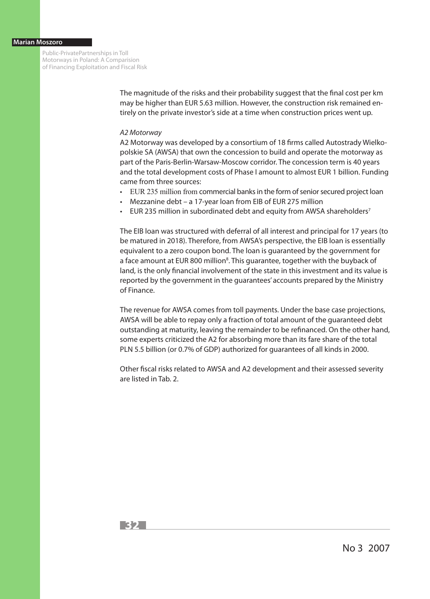#### **Marian Moszoro**

Public-PrivatePartnerships in Toll Motorways in Poland: A Comparision of Financing Exploitation and Fiscal Risk

> The magnitude of the risks and their probability suggest that the final cost per km may be higher than EUR 5.63 million. However, the construction risk remained entirely on the private investor's side at a time when construction prices went up.

#### *A2 Motorway*

A2 Motorway was developed by a consortium of 18 firms called Autostrady Wielkopolskie SA (AWSA) that own the concession to build and operate the motorway as part of the Paris-Berlin-Warsaw-Moscow corridor. The concession term is 40 years and the total development costs of Phase I amount to almost EUR 1 billion. Funding came from three sources:

- EUR 235 million from commercial banks in the form of senior secured project loan
- Mezzanine debt a 17-year loan from EIB of EUR 275 million
- EUR 235 million in subordinated debt and equity from AWSA shareholders7

The EIB loan was structured with deferral of all interest and principal for 17 years (to be matured in 2018). Therefore, from AWSA's perspective, the EIB loan is essentially equivalent to a zero coupon bond. The loan is guaranteed by the government for a face amount at EUR 800 million<sup>8</sup>. This guarantee, together with the buyback of land, is the only financial involvement of the state in this investment and its value is reported by the government in the guarantees' accounts prepared by the Ministry of Finance.

The revenue for AWSA comes from toll payments. Under the base case projections, AWSA will be able to repay only a fraction of total amount of the guaranteed debt outstanding at maturity, leaving the remainder to be refinanced. On the other hand, some experts criticized the A2 for absorbing more than its fare share of the total PLN 5.5 billion (or 0.7% of GDP) authorized for guarantees of all kinds in 2000.

Other fiscal risks related to AWSA and A2 development and their assessed severity are listed in Tab. 2.



No 3 2007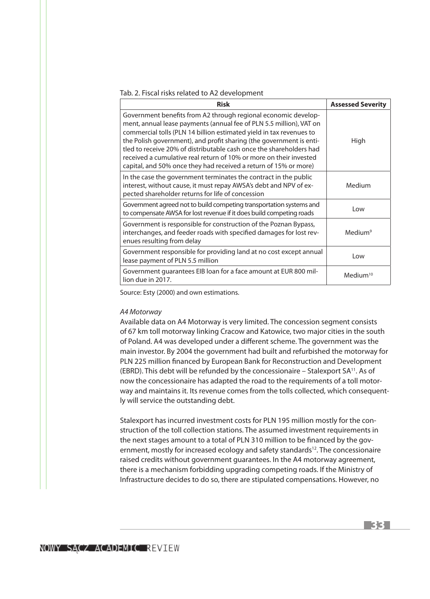Tab. 2. Fiscal risks related to A2 development

| <b>Risk</b>                                                                                                                                                                                                                                                                                                                                                                                                                                                                                          | <b>Assessed Severity</b> |
|------------------------------------------------------------------------------------------------------------------------------------------------------------------------------------------------------------------------------------------------------------------------------------------------------------------------------------------------------------------------------------------------------------------------------------------------------------------------------------------------------|--------------------------|
| Government benefits from A2 through regional economic develop-<br>ment, annual lease payments (annual fee of PLN 5.5 million), VAT on<br>commercial tolls (PLN 14 billion estimated yield in tax revenues to<br>the Polish government), and profit sharing (the government is enti-<br>tled to receive 20% of distributable cash once the shareholders had<br>received a cumulative real return of 10% or more on their invested<br>capital, and 50% once they had received a return of 15% or more) | High                     |
| In the case the government terminates the contract in the public<br>interest, without cause, it must repay AWSA's debt and NPV of ex-<br>pected shareholder returns for life of concession                                                                                                                                                                                                                                                                                                           | Medium                   |
| Government agreed not to build competing transportation systems and<br>to compensate AWSA for lost revenue if it does build competing roads                                                                                                                                                                                                                                                                                                                                                          | l ow                     |
| Government is responsible for construction of the Poznan Bypass,<br>interchanges, and feeder roads with specified damages for lost rev-<br>enues resulting from delay                                                                                                                                                                                                                                                                                                                                | Medium <sup>9</sup>      |
| Government responsible for providing land at no cost except annual<br>lease payment of PLN 5.5 million                                                                                                                                                                                                                                                                                                                                                                                               | l ow                     |
| Government guarantees EIB loan for a face amount at EUR 800 mil-<br>lion due in 2017.                                                                                                                                                                                                                                                                                                                                                                                                                | $M$ edium <sup>10</sup>  |

Source: Esty (2000) and own estimations.

#### *A4 Motorway*

Available data on A4 Motorway is very limited. The concession segment consists of 67 km toll motorway linking Cracow and Katowice, two major cities in the south of Poland. A4 was developed under a different scheme. The government was the main investor. By 2004 the government had built and refurbished the motorway for PLN 225 million financed by European Bank for Reconstruction and Development (EBRD). This debt will be refunded by the concessionaire – Stalexport  $SA^{11}$ . As of now the concessionaire has adapted the road to the requirements of a toll motorway and maintains it. Its revenue comes from the tolls collected, which consequently will service the outstanding debt.

Stalexport has incurred investment costs for PLN 195 million mostly for the construction of the toll collection stations. The assumed investment requirements in the next stages amount to a total of PLN 310 million to be financed by the government, mostly for increased ecology and safety standards<sup>12</sup>. The concessionaire raised credits without government guarantees. In the A4 motorway agreement, there is a mechanism forbidding upgrading competing roads. If the Ministry of Infrastructure decides to do so, there are stipulated compensations. However, no

NOWY SACZ ACADEMIC REVIEW

**33**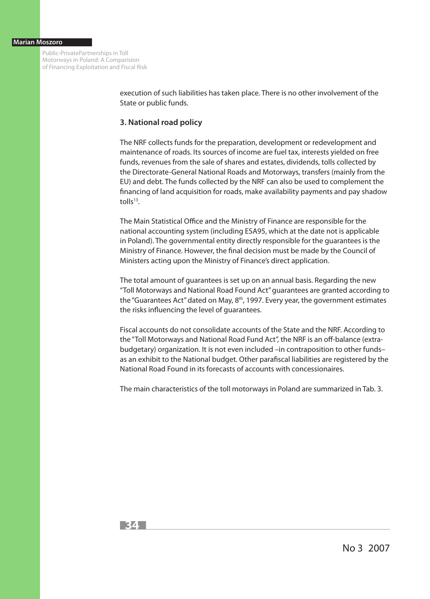Public-PrivatePartnerships in Toll Motorways in Poland: A Comparision of Financing Exploitation and Fiscal Risk

> execution of such liabilities has taken place. There is no other involvement of the State or public funds.

## **3. National road policy**

The NRF collects funds for the preparation, development or redevelopment and maintenance of roads. Its sources of income are fuel tax, interests yielded on free funds, revenues from the sale of shares and estates, dividends, tolls collected by the Directorate-General National Roads and Motorways, transfers (mainly from the EU) and debt. The funds collected by the NRF can also be used to complement the financing of land acquisition for roads, make availability payments and pay shadow toll $s^{13}$ .

The Main Statistical Office and the Ministry of Finance are responsible for the national accounting system (including ESA95, which at the date not is applicable in Poland). The governmental entity directly responsible for the guarantees is the Ministry of Finance. However, the final decision must be made by the Council of Ministers acting upon the Ministry of Finance's direct application.

The total amount of guarantees is set up on an annual basis. Regarding the new "Toll Motorways and National Road Found Act" guarantees are granted according to the "Guarantees Act" dated on May,  $8<sup>th</sup>$ , 1997. Every year, the government estimates the risks influencing the level of guarantees.

Fiscal accounts do not consolidate accounts of the State and the NRF. According to the "Toll Motorways and National Road Fund Act", the NRF is an off-balance (extrabudgetary) organization. It is not even included –in contraposition to other funds– as an exhibit to the National budget. Other parafiscal liabilities are registered by the National Road Found in its forecasts of accounts with concessionaires.

The main characteristics of the toll motorways in Poland are summarized in Tab. 3.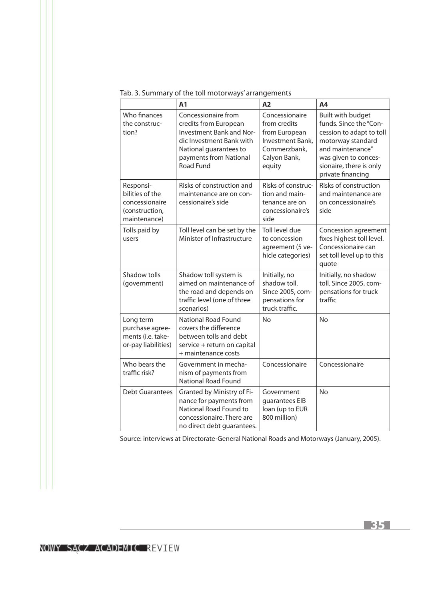## Tab. 3. Summary of the toll motorways' arrangements

|                                                                                  | A <sub>1</sub>                                                                                                                                                               | A2                                                                                                            | A4                                                                                                                                                                                       |
|----------------------------------------------------------------------------------|------------------------------------------------------------------------------------------------------------------------------------------------------------------------------|---------------------------------------------------------------------------------------------------------------|------------------------------------------------------------------------------------------------------------------------------------------------------------------------------------------|
| Who finances<br>the construc-<br>tion?                                           | Concessionaire from<br>credits from European<br><b>Investment Bank and Nor-</b><br>dic Investment Bank with<br>National guarantees to<br>payments from National<br>Road Fund | Concessionaire<br>from credits<br>from European<br>Investment Bank,<br>Commerzbank,<br>Calyon Bank,<br>equity | Built with budget<br>funds. Since the "Con-<br>cession to adapt to toll<br>motorway standard<br>and maintenance"<br>was given to conces-<br>sionaire, there is only<br>private financing |
| Responsi-<br>bilities of the<br>concessionaire<br>(construction,<br>maintenance) | Risks of construction and<br>maintenance are on con-<br>cessionaire's side                                                                                                   | Risks of construc-<br>tion and main-<br>tenance are on<br>concessionaire's<br>side                            | Risks of construction<br>and maintenance are<br>on concessionaire's<br>side                                                                                                              |
| Tolls paid by<br>users                                                           | Toll level can be set by the<br>Minister of Infrastructure                                                                                                                   | Toll level due<br>to concession<br>agreement (5 ve-<br>hicle categories)                                      | Concession agreement<br>fixes highest toll level.<br>Concessionaire can<br>set toll level up to this<br>quote                                                                            |
| Shadow tolls<br>(government)                                                     | Shadow toll system is<br>aimed on maintenance of<br>the road and depends on<br>traffic level (one of three<br>scenarios)                                                     | Initially, no<br>shadow toll.<br>Since 2005, com-<br>pensations for<br>truck traffic.                         | Initially, no shadow<br>toll. Since 2005, com-<br>pensations for truck<br>traffic                                                                                                        |
| Long term<br>purchase agree-<br>ments (i.e. take-<br>or-pay liabilities)         | <b>National Road Found</b><br>covers the difference<br>between tolls and debt<br>service + return on capital<br>+ maintenance costs                                          | <b>No</b>                                                                                                     | <b>No</b>                                                                                                                                                                                |
| Who bears the<br>traffic risk?                                                   | Government in mecha-<br>nism of payments from<br><b>National Road Found</b>                                                                                                  | Concessionaire                                                                                                | Concessionaire                                                                                                                                                                           |
| <b>Debt Guarantees</b>                                                           | Granted by Ministry of Fi-<br>nance for payments from<br>National Road Found to<br>concessionaire. There are<br>no direct debt guarantees.                                   | Government<br>guarantees EIB<br>loan (up to EUR<br>800 million)                                               | <b>No</b>                                                                                                                                                                                |

Source: interviews at Directorate-General National Roads and Motorways (January, 2005).

**35**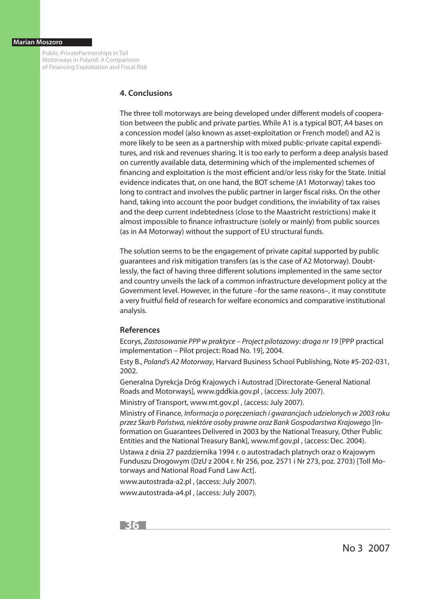Public-PrivatePartnerships in Toll Motorways in Poland: A Comparision of Financing Exploitation and Fiscal Risk

## **4. Conclusions**

The three toll motorways are being developed under different models of cooperation between the public and private parties. While A1 is a typical BOT, A4 bases on a concession model (also known as asset-exploitation or French model) and A2 is more likely to be seen as a partnership with mixed public-private capital expenditures, and risk and revenues sharing. It is too early to perform a deep analysis based on currently available data, determining which of the implemented schemes of financing and exploitation is the most efficient and/or less risky for the State. Initial evidence indicates that, on one hand, the BOT scheme (A1 Motorway) takes too long to contract and involves the public partner in larger fiscal risks. On the other hand, taking into account the poor budget conditions, the inviability of tax raises and the deep current indebtedness (close to the Maastricht restrictions) make it almost impossible to finance infrastructure (solely or mainly) from public sources (as in A4 Motorway) without the support of EU structural funds.

The solution seems to be the engagement of private capital supported by public guarantees and risk mitigation transfers (as is the case of A2 Motorway). Doubtlessly, the fact of having three different solutions implemented in the same sector and country unveils the lack of a common infrastructure development policy at the Government level. However, in the future –for the same reasons–, it may constitute a very fruitful field of research for welfare economics and comparative institutional analysis.

## **References**

Ecorys, *Zastosowanie PPP w praktyce – Project pilotazowy: droga nr 19* [PPP practical implementation – Pilot project: Road No. 19], 2004.

Esty B., *Poland's A2 Motorway*, Harvard Business School Publishing, Note #5-202-031, 2002.

Generalna Dyrekcja Dróg Krajowych i Autostrad [Directorate-General National Roads and Motorways], www.gddkia.gov.pl , (access: July 2007).

Ministry of Transport, www.mt.gov.pl , (access: July 2007).

Ministry of Finance, *Informacja o poręczeniach i gwarancjach udzielonych w 2003 roku przez Skarb Państwa, niektóre osoby prawne oraz Bank Gospodarstwa Krajowego* [Information on Guarantees Delivered in 2003 by the National Treasury, Other Public Entities and the National Treasury Bank], www.mf.gov.pl , (access: Dec. 2004).

Ustawa z dnia 27 pazdziernika 1994 r. o autostradach platnych oraz o Krajowym Funduszu Drogowym (DzU z 2004 r. Nr 256, poz. 2571 i Nr 273, poz. 2703) [Toll Motorways and National Road Fund Law Act].

www.autostrada-a2.pl , (access: July 2007).

www.autostrada-a4.pl , (access: July 2007).